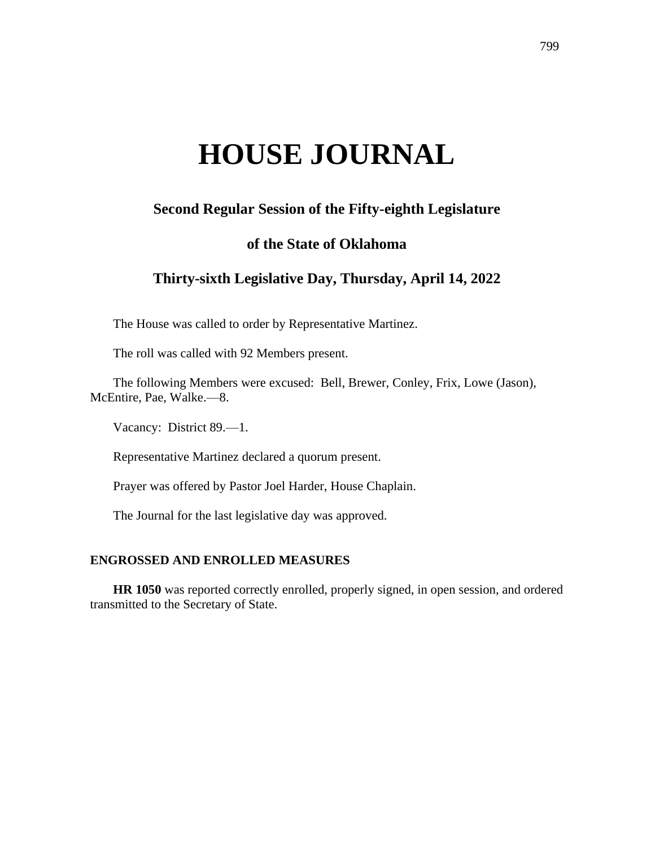# **HOUSE JOURNAL**

# **Second Regular Session of the Fifty-eighth Legislature**

# **of the State of Oklahoma**

# **Thirty-sixth Legislative Day, Thursday, April 14, 2022**

The House was called to order by Representative Martinez.

The roll was called with 92 Members present.

The following Members were excused: Bell, Brewer, Conley, Frix, Lowe (Jason), McEntire, Pae, Walke.—8.

Vacancy: District 89.—1.

Representative Martinez declared a quorum present.

Prayer was offered by Pastor Joel Harder, House Chaplain.

The Journal for the last legislative day was approved.

# **ENGROSSED AND ENROLLED MEASURES**

**HR 1050** was reported correctly enrolled, properly signed, in open session, and ordered transmitted to the Secretary of State.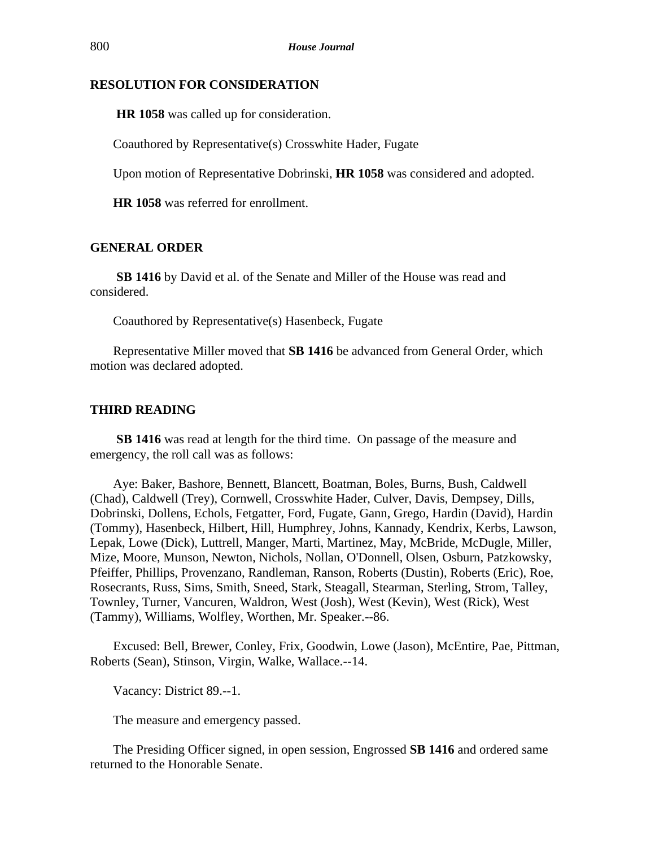## **RESOLUTION FOR CONSIDERATION**

**HR 1058** was called up for consideration.

Coauthored by Representative(s) Crosswhite Hader, Fugate

Upon motion of Representative Dobrinski, **HR 1058** was considered and adopted.

**HR 1058** was referred for enrollment.

# **GENERAL ORDER**

**SB 1416** by David et al. of the Senate and Miller of the House was read and considered.

Coauthored by Representative(s) Hasenbeck, Fugate

Representative Miller moved that **SB 1416** be advanced from General Order, which motion was declared adopted.

# **THIRD READING**

**SB 1416** was read at length for the third time. On passage of the measure and emergency, the roll call was as follows:

Aye: Baker, Bashore, Bennett, Blancett, Boatman, Boles, Burns, Bush, Caldwell (Chad), Caldwell (Trey), Cornwell, Crosswhite Hader, Culver, Davis, Dempsey, Dills, Dobrinski, Dollens, Echols, Fetgatter, Ford, Fugate, Gann, Grego, Hardin (David), Hardin (Tommy), Hasenbeck, Hilbert, Hill, Humphrey, Johns, Kannady, Kendrix, Kerbs, Lawson, Lepak, Lowe (Dick), Luttrell, Manger, Marti, Martinez, May, McBride, McDugle, Miller, Mize, Moore, Munson, Newton, Nichols, Nollan, O'Donnell, Olsen, Osburn, Patzkowsky, Pfeiffer, Phillips, Provenzano, Randleman, Ranson, Roberts (Dustin), Roberts (Eric), Roe, Rosecrants, Russ, Sims, Smith, Sneed, Stark, Steagall, Stearman, Sterling, Strom, Talley, Townley, Turner, Vancuren, Waldron, West (Josh), West (Kevin), West (Rick), West (Tammy), Williams, Wolfley, Worthen, Mr. Speaker.--86.

Excused: Bell, Brewer, Conley, Frix, Goodwin, Lowe (Jason), McEntire, Pae, Pittman, Roberts (Sean), Stinson, Virgin, Walke, Wallace.--14.

Vacancy: District 89.--1.

The measure and emergency passed.

The Presiding Officer signed, in open session, Engrossed **SB 1416** and ordered same returned to the Honorable Senate.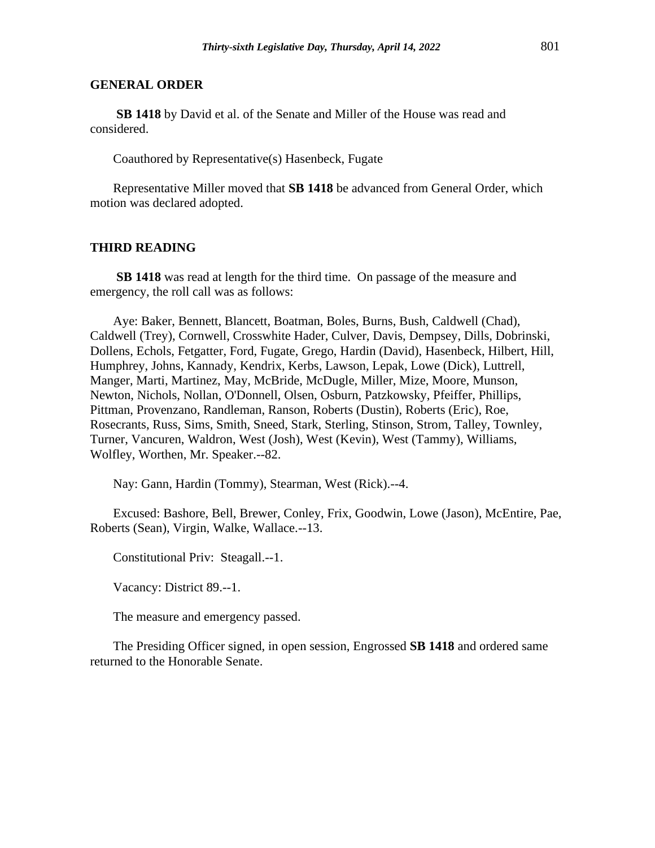#### **GENERAL ORDER**

**SB 1418** by David et al. of the Senate and Miller of the House was read and considered.

Coauthored by Representative(s) Hasenbeck, Fugate

Representative Miller moved that **SB 1418** be advanced from General Order, which motion was declared adopted.

#### **THIRD READING**

**SB 1418** was read at length for the third time. On passage of the measure and emergency, the roll call was as follows:

Aye: Baker, Bennett, Blancett, Boatman, Boles, Burns, Bush, Caldwell (Chad), Caldwell (Trey), Cornwell, Crosswhite Hader, Culver, Davis, Dempsey, Dills, Dobrinski, Dollens, Echols, Fetgatter, Ford, Fugate, Grego, Hardin (David), Hasenbeck, Hilbert, Hill, Humphrey, Johns, Kannady, Kendrix, Kerbs, Lawson, Lepak, Lowe (Dick), Luttrell, Manger, Marti, Martinez, May, McBride, McDugle, Miller, Mize, Moore, Munson, Newton, Nichols, Nollan, O'Donnell, Olsen, Osburn, Patzkowsky, Pfeiffer, Phillips, Pittman, Provenzano, Randleman, Ranson, Roberts (Dustin), Roberts (Eric), Roe, Rosecrants, Russ, Sims, Smith, Sneed, Stark, Sterling, Stinson, Strom, Talley, Townley, Turner, Vancuren, Waldron, West (Josh), West (Kevin), West (Tammy), Williams, Wolfley, Worthen, Mr. Speaker.--82.

Nay: Gann, Hardin (Tommy), Stearman, West (Rick).--4.

Excused: Bashore, Bell, Brewer, Conley, Frix, Goodwin, Lowe (Jason), McEntire, Pae, Roberts (Sean), Virgin, Walke, Wallace.--13.

Constitutional Priv: Steagall.--1.

Vacancy: District 89.--1.

The measure and emergency passed.

The Presiding Officer signed, in open session, Engrossed **SB 1418** and ordered same returned to the Honorable Senate.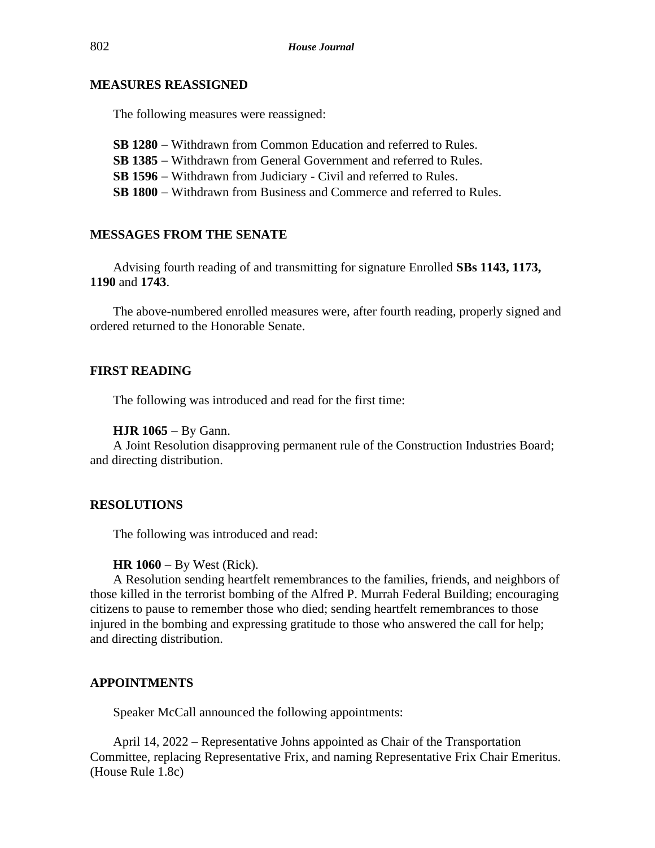## **MEASURES REASSIGNED**

The following measures were reassigned:

**SB 1280** − Withdrawn from Common Education and referred to Rules. **SB 1385** − Withdrawn from General Government and referred to Rules. **SB 1596** − Withdrawn from Judiciary - Civil and referred to Rules. **SB 1800** − Withdrawn from Business and Commerce and referred to Rules.

#### **MESSAGES FROM THE SENATE**

Advising fourth reading of and transmitting for signature Enrolled **SBs 1143, 1173, 1190** and **1743**.

The above-numbered enrolled measures were, after fourth reading, properly signed and ordered returned to the Honorable Senate.

## **FIRST READING**

The following was introduced and read for the first time:

#### **HJR 1065** − By Gann.

A Joint Resolution disapproving permanent rule of the Construction Industries Board; and directing distribution.

#### **RESOLUTIONS**

The following was introduced and read:

#### **HR 1060** − By West (Rick).

A Resolution sending heartfelt remembrances to the families, friends, and neighbors of those killed in the terrorist bombing of the Alfred P. Murrah Federal Building; encouraging citizens to pause to remember those who died; sending heartfelt remembrances to those injured in the bombing and expressing gratitude to those who answered the call for help; and directing distribution.

# **APPOINTMENTS**

Speaker McCall announced the following appointments:

April 14, 2022 – Representative Johns appointed as Chair of the Transportation Committee, replacing Representative Frix, and naming Representative Frix Chair Emeritus. (House Rule 1.8c)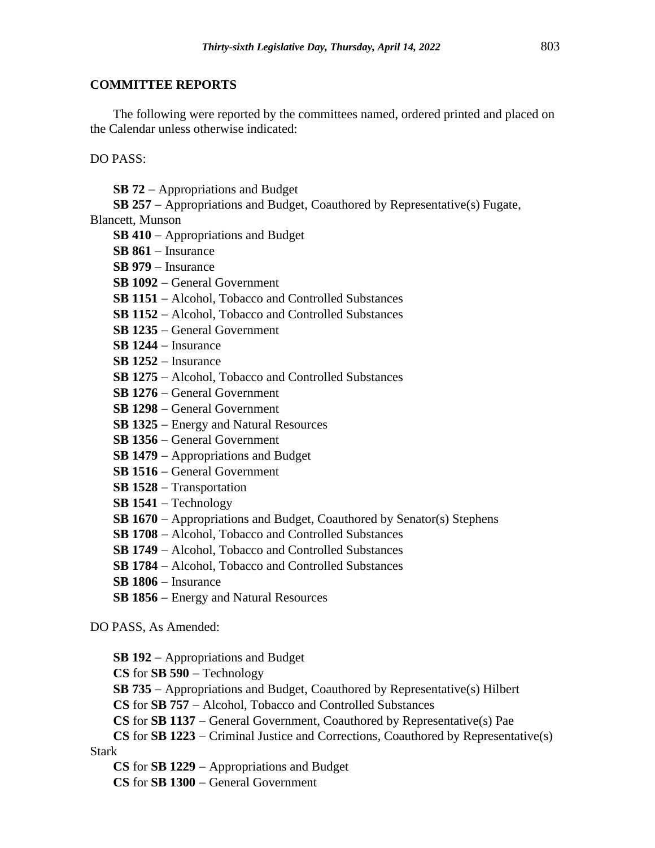# **COMMITTEE REPORTS**

The following were reported by the committees named, ordered printed and placed on the Calendar unless otherwise indicated:

DO PASS:

**SB 72** − Appropriations and Budget

**SB 257** − Appropriations and Budget, Coauthored by Representative(s) Fugate,

Blancett, Munson

- **SB 410** − Appropriations and Budget
- **SB 861** − Insurance
- **SB 979** − Insurance
- **SB 1092** − General Government
- **SB 1151** − Alcohol, Tobacco and Controlled Substances
- **SB 1152** − Alcohol, Tobacco and Controlled Substances
- **SB 1235** − General Government
- **SB 1244** − Insurance
- **SB 1252** − Insurance
- **SB 1275** − Alcohol, Tobacco and Controlled Substances
- **SB 1276** − General Government
- **SB 1298** − General Government
- **SB 1325** − Energy and Natural Resources
- **SB 1356** − General Government
- **SB 1479** − Appropriations and Budget
- **SB 1516** − General Government
- **SB 1528** − Transportation
- **SB 1541** − Technology
- **SB 1670** − Appropriations and Budget, Coauthored by Senator(s) Stephens
- **SB 1708** − Alcohol, Tobacco and Controlled Substances
- **SB 1749** − Alcohol, Tobacco and Controlled Substances
- **SB 1784** − Alcohol, Tobacco and Controlled Substances
- **SB 1806** − Insurance
- **SB 1856** − Energy and Natural Resources

DO PASS, As Amended:

**SB 192** − Appropriations and Budget

**CS** for **SB 590** − Technology

**SB 735** − Appropriations and Budget, Coauthored by Representative(s) Hilbert

**CS** for **SB 757** − Alcohol, Tobacco and Controlled Substances

**CS** for **SB 1137** − General Government, Coauthored by Representative(s) Pae

**CS** for **SB 1223** − Criminal Justice and Corrections, Coauthored by Representative(s) Stark

**CS** for **SB 1229** − Appropriations and Budget

**CS** for **SB 1300** − General Government